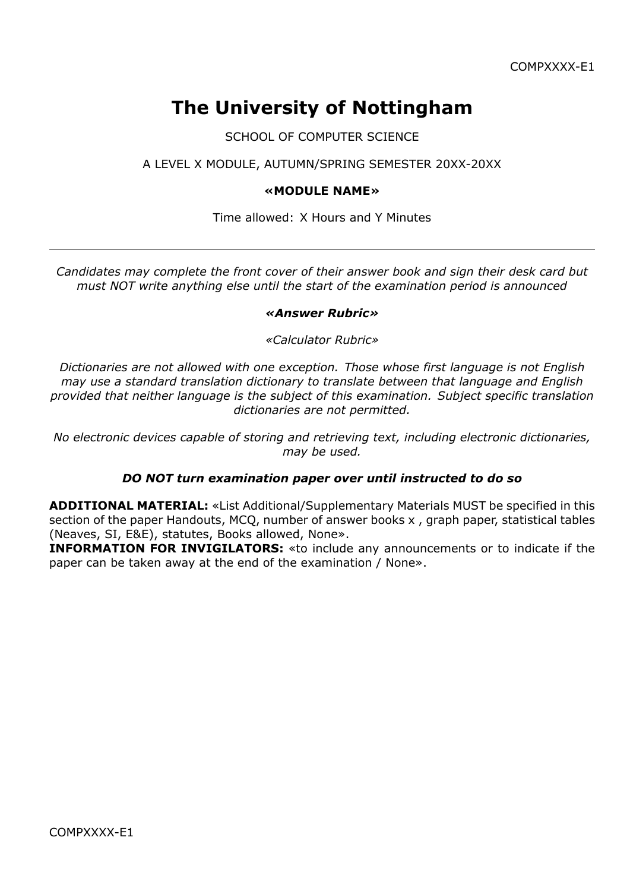# **The University of Nottingham**

SCHOOL OF COMPUTER SCIENCE

# A LEVEL X MODULE, AUTUMN/SPRING SEMESTER 20XX-20XX

### **«MODULE NAME»**

#### Time allowed: X Hours and Y Minutes

*Candidates may complete the front cover of their answer book and sign their desk card but must NOT write anything else until the start of the examination period is announced*

#### *«Answer Rubric»*

#### *«Calculator Rubric»*

*Dictionaries are not allowed with one exception. Those whose first language is not English may use a standard translation dictionary to translate between that language and English provided that neither language is the subject of this examination. Subject specific translation dictionaries are not permitted.*

*No electronic devices capable of storing and retrieving text, including electronic dictionaries, may be used.*

### *DO NOT turn examination paper over until instructed to do so*

**ADDITIONAL MATERIAL:** «List Additional/Supplementary Materials MUST be specified in this section of the paper Handouts, MCQ, number of answer books x , graph paper, statistical tables (Neaves, SI, E&E), statutes, Books allowed, None».

**INFORMATION FOR INVIGILATORS:** «to include any announcements or to indicate if the paper can be taken away at the end of the examination / None».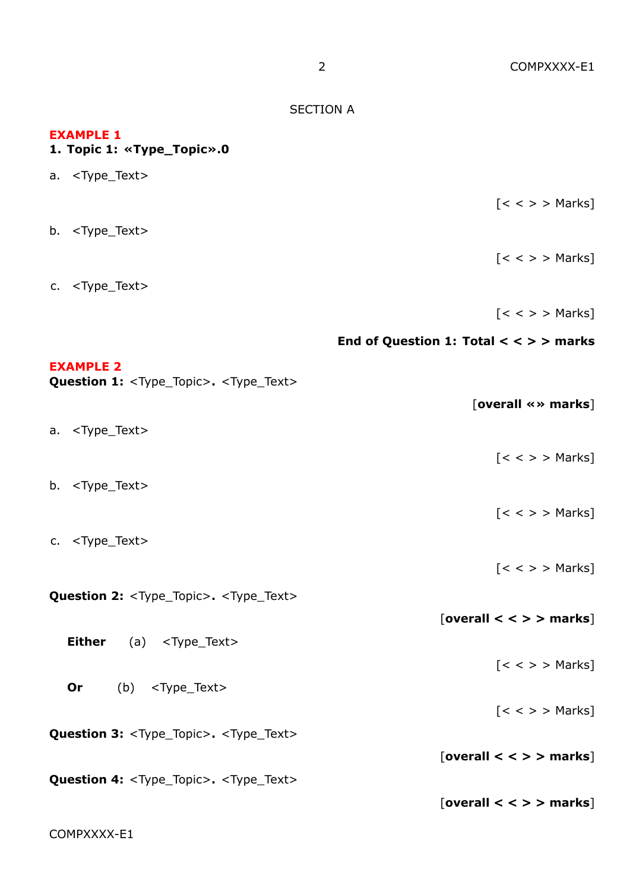SECTION A **EXAMPLE 1 1. Topic 1: «Type\_Topic».0** a. <Type\_Text>  $\lceil < \ > \rangle$  Marks b. <Type\_Text>  $[ < < > >$  Marks] c. <Type\_Text>  $[ < < > >$  Marks] **End of Question 1: Total < < > > marks EXAMPLE 2** Question 1: <Type\_Topic>. <Type\_Text> [**overall «» marks**] a. <Type\_Text>  $\lceil < \ > \rangle$  Marks b. <Type\_Text>  $[ < < > >$  Marks] c. <Type\_Text>  $[ < < > >$  Marks] **Question 2:** <Type\_Topic>**.** <Type\_Text> [**overall < < > > marks**] **Either** (a) <Type\_Text>  $\left[ < < \right.$ **Or** (b) <Type\_Text>  $[ < < > >$  Marks] **Question 3:** <Type\_Topic>**.** <Type\_Text> [**overall < < > > marks**] **Question 4:** <Type\_Topic>**.** <Type\_Text> [**overall < < > > marks**]

COMPXXXX-E1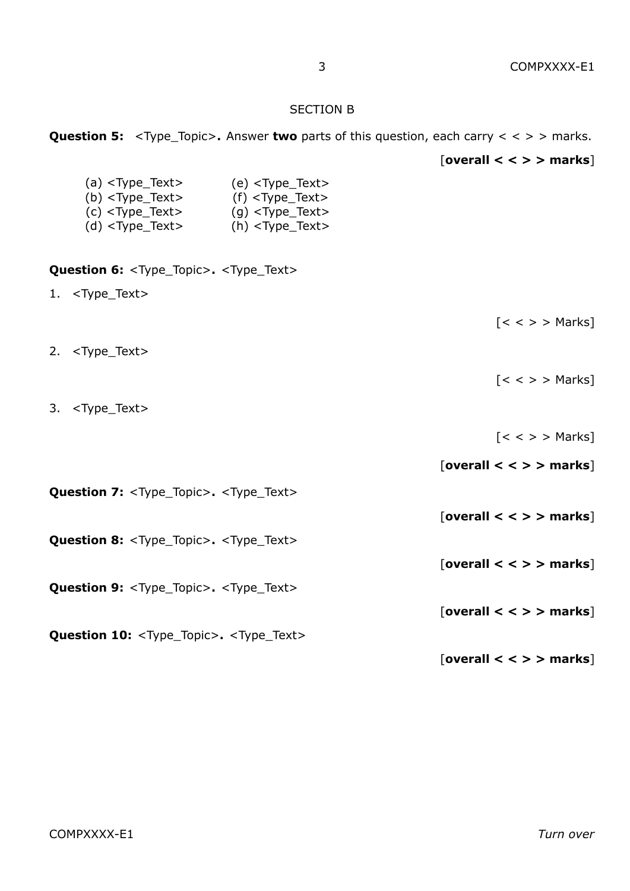#### SECTION B

|                                                                                                                                                                                                                                | <b>Question 5:</b> <type_topic>. Answer <b>two</b> parts of this question, each carry &lt; <math>\lt</math> &gt; marks.</type_topic> |
|--------------------------------------------------------------------------------------------------------------------------------------------------------------------------------------------------------------------------------|--------------------------------------------------------------------------------------------------------------------------------------|
|                                                                                                                                                                                                                                | [overall $\lt$ $\lt$ $>$ $>$ marks]                                                                                                  |
| (a) $lt; Type_Text$ (e) $lt; Type_Text$<br>(b) $<$ Type_Text> $(f)$ $<$ Type_Text><br>$(c)$ <type_text> <math>(g)</math> <type_text><br/>(d) <math>lt; Type_Text</math> (h) <math>lt; Type_Text</math></type_text></type_text> |                                                                                                                                      |
| Question 6: <type_topic>. <type_text></type_text></type_topic>                                                                                                                                                                 |                                                                                                                                      |
| 1. <type_text></type_text>                                                                                                                                                                                                     |                                                                                                                                      |
|                                                                                                                                                                                                                                | $[<\rangle$ > Marks]                                                                                                                 |
| 2. <type_text></type_text>                                                                                                                                                                                                     |                                                                                                                                      |
|                                                                                                                                                                                                                                | $[<\rangle$ > $>$ Marks]                                                                                                             |
| 3. <type_text></type_text>                                                                                                                                                                                                     |                                                                                                                                      |
|                                                                                                                                                                                                                                | $[<\rangle$ > $>$ Marks]                                                                                                             |
|                                                                                                                                                                                                                                | [overall $\lt$ $\lt$ $>$ $>$ marks]                                                                                                  |
| <b>Question 7: <type_topic>. <type_text></type_text></type_topic></b>                                                                                                                                                          |                                                                                                                                      |
|                                                                                                                                                                                                                                | [overall $\lt$ $\lt$ $>$ $>$ marks]                                                                                                  |
| <b>Question 8: <type_topic>. <type_text></type_text></type_topic></b>                                                                                                                                                          |                                                                                                                                      |
|                                                                                                                                                                                                                                | [overall $\lt$ $\lt$ > $>$ marks]                                                                                                    |
| <b>Question 9: <type_topic>. <type_text></type_text></type_topic></b>                                                                                                                                                          |                                                                                                                                      |
|                                                                                                                                                                                                                                | [overall $\lt$ $\lt$ $>$ $>$ marks]                                                                                                  |
| Question 10: <type_topic>. <type_text></type_text></type_topic>                                                                                                                                                                | [overall $\lt$ $\lt$ $>$ $>$ marks]                                                                                                  |
|                                                                                                                                                                                                                                |                                                                                                                                      |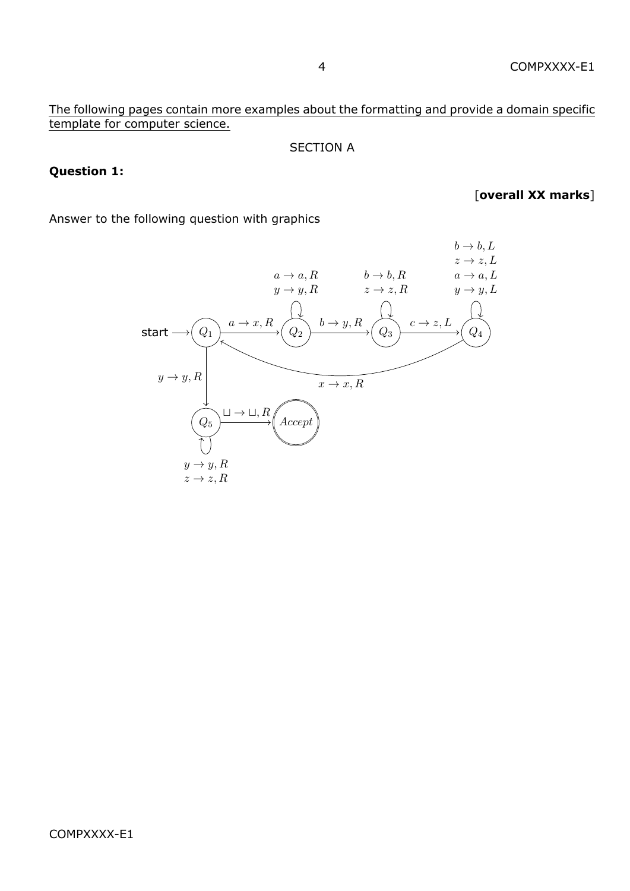# The following pages contain more examples about the formatting and provide a domain specific template for computer science.

### SECTION A

### **Question 1:**

[**overall XX marks**]

Answer to the following question with graphics

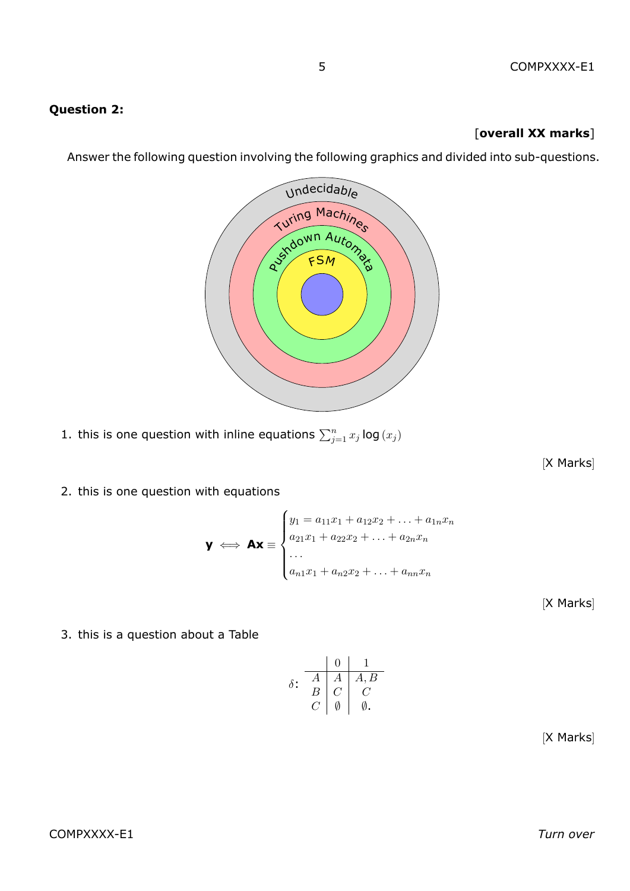# **Question 2:**

## [**overall XX marks**]

Answer the following question involving the following graphics and divided into sub-questions.



1. this is one question with inline equations  $\sum_{j=1}^n x_j \log(x_j)$ 

[X Marks]

2. this is one question with equations

$$
\mathbf{y} \iff \mathbf{A}\mathbf{x} \equiv \begin{cases} y_1 = a_{11}x_1 + a_{12}x_2 + \dots + a_{1n}x_n \\ a_{21}x_1 + a_{22}x_2 + \dots + a_{2n}x_n \\ \dots \\ a_{n1}x_1 + a_{n2}x_2 + \dots + a_{nn}x_n \end{cases}
$$

[X Marks]

3. this is a question about a Table

$$
\delta \colon \begin{array}{c|c} & 0 & 1 \\ \hline A & A & A, B \\ B & C & C \\ C & \emptyset & \emptyset. \end{array}
$$

[X Marks]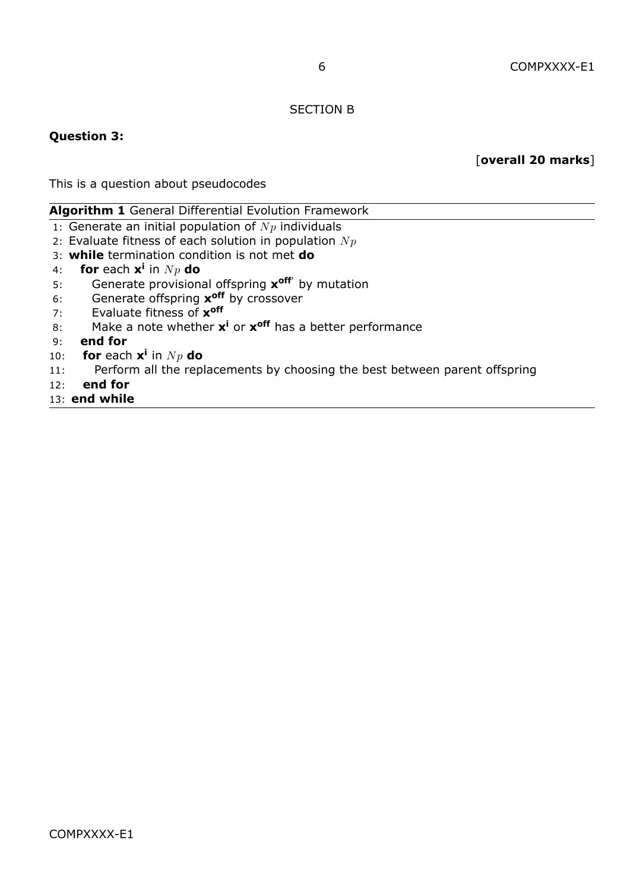#### SECTION B

#### **Question 3:**

[**overall 20 marks**]

This is a question about pseudocodes

#### **Algorithm 1** General Differential Evolution Framework

- 1: Generate an initial population of  $N_p$  individuals
- 2: Evaluate fitness of each solution in population  $N_p$
- 3: **while** termination condition is not met **do**
- 4: **for** each **x i** in *N p* **do**
- 5: Generate provisional offspring **x off***′* by mutation
- 6: Generate offspring **x off** by crossover
- 7: Evaluate fitness of **x off**
- 8: Make a note whether **x <sup>i</sup>** or **x off** has a better performance
- 9: **end for**
- 10: **for** each  $x^i$  in  $N_p$  do
- 11: Perform all the replacements by choosing the best between parent offspring
- 12: **end for**

#### 13: **end while**